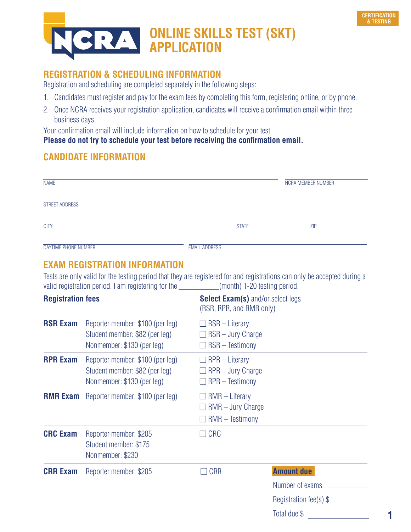

# **ONLINE SKILLS TEST (SKT) APPLICATION**

# **REGISTRATION & SCHEDULING INFORMATION**

Registration and scheduling are completed separately in the following steps:

- 1. Candidates must register and pay for the exam fees by completing this form, registering online, or by phone.
- 2. Once NCRA receives your registration application, candidates will receive a confirmation email within three business days.

Your confirmation email will include information on how to schedule for your test.

#### **Please do not try to schedule your test before receiving the confirmation email.**

## **CANDIDATE INFORMATION**

| <b>NAME</b>          |                      | NCRA MEMBER NUMBER |
|----------------------|----------------------|--------------------|
| STREET ADDRESS       |                      |                    |
| <b>CITY</b>          | <b>STATE</b>         | <b>ZIP</b>         |
| DAYTIME PHONE NUMBER | <b>EMAIL ADDRESS</b> |                    |

### **EXAM REGISTRATION INFORMATION**

Tests are only valid for the testing period that they are registered for and registrations can only be accepted during a valid registration period. I am registering for the \_\_\_\_\_\_\_\_\_\_(month) 1-20 testing period.

| <b>Registration fees</b> |                                                                                                  | <b>Select Exam(s)</b> and/or select legs<br>(RSR, RPR, and RMR only)        |                                                                 |
|--------------------------|--------------------------------------------------------------------------------------------------|-----------------------------------------------------------------------------|-----------------------------------------------------------------|
| <b>RSR Exam</b>          | Reporter member: \$100 (per leg)<br>Student member: \$82 (per leg)<br>Nonmember: \$130 (per leg) | $\Box$ RSR – Literary<br>$\Box$ RSR – Jury Charge<br>$\Box$ RSR – Testimony |                                                                 |
| <b>RPR Exam</b>          | Reporter member: \$100 (per leg)<br>Student member: \$82 (per leg)<br>Nonmember: \$130 (per leg) | $\Box$ RPR – Literary<br>$\Box$ RPR – Jury Charge<br>$\Box$ RPR – Testimony |                                                                 |
| <b>RMR Exam</b>          | Reporter member: \$100 (per leg)                                                                 | $\Box$ RMR – Literary<br>$\Box$ RMR – Jury Charge<br>$\Box$ RMR – Testimony |                                                                 |
| <b>CRC Exam</b>          | Reporter member: \$205<br>Student member: \$175<br>Nonmember: \$230                              | $\Box$ CRC                                                                  |                                                                 |
| <b>CRR Exam</b>          | Reporter member: \$205                                                                           | $\Box$ CRR                                                                  | <b>Amount due</b><br>Number of exams<br>Registration fee(s) $$$ |

Total due \$